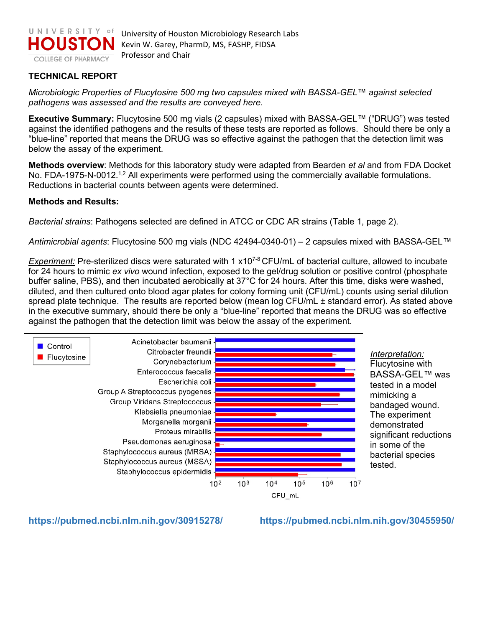

University of Houston Microbiology Research Labs Kevin W. Garey, PharmD, MS, FASHP, FIDSA Professor and Chair

## **TECHNICAL REPORT**

*Microbiologic Properties of Flucytosine 500 mg two capsules mixed with BASSA-GEL™ against selected pathogens was assessed and the results are conveyed here.* 

**Executive Summary:** Flucytosine 500 mg vials (2 capsules) mixed with BASSA-GEL*™* ("DRUG") was tested against the identified pathogens and the results of these tests are reported as follows. Should there be only a "blue-line" reported that means the DRUG was so effective against the pathogen that the detection limit was below the assay of the experiment.

**Methods overview**: Methods for this laboratory study were adapted from Bearden *et al* and from FDA Docket No. FDA-1975-N-0012.<sup>1,2</sup> All experiments were performed using the commercially available formulations. Reductions in bacterial counts between agents were determined.

## **Methods and Results:**

*Bacterial strains*: Pathogens selected are defined in ATCC or CDC AR strains (Table 1, page 2).

*Antimicrobial agents*: Flucytosine 500 mg vials (NDC 42494-0340-01) – 2 capsules mixed with BASSA-GEL*™*

*Experiment:* Pre-sterilized discs were saturated with 1 x10<sup>7-8</sup> CFU/mL of bacterial culture, allowed to incubate for 24 hours to mimic *ex vivo* wound infection, exposed to the gel/drug solution or positive control (phosphate buffer saline, PBS), and then incubated aerobically at 37°C for 24 hours. After this time, disks were washed, diluted, and then cultured onto blood agar plates for colony forming unit (CFU/mL) counts using serial dilution spread plate technique. The results are reported below (mean log CFU/mL ± standard error). As stated above in the executive summary, should there be only a "blue-line" reported that means the DRUG was so effective against the pathogen that the detection limit was below the assay of the experiment.



**<https://pubmed.ncbi.nlm.nih.gov/30915278/>https://pubmed.ncbi.nlm.nih.gov/30455950/**